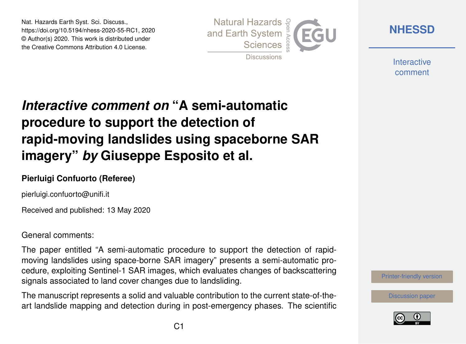Nat. Hazards Earth Syst. Sci. Discuss., https://doi.org/10.5194/nhess-2020-55-RC1, 2020 © Author(s) 2020. This work is distributed under the Creative Commons Attribution 4.0 License.



**[NHESSD](https://www.nat-hazards-earth-syst-sci-discuss.net/)**

**Interactive** comment

## *Interactive comment on* **"A semi-automatic procedure to support the detection of rapid-moving landslides using spaceborne SAR imagery"** *by* **Giuseppe Esposito et al.**

## **Pierluigi Confuorto (Referee)**

pierluigi.confuorto@unifi.it

Received and published: 13 May 2020

General comments:

The paper entitled "A semi-automatic procedure to support the detection of rapidmoving landslides using space-borne SAR imagery" presents a semi-automatic procedure, exploiting Sentinel-1 SAR images, which evaluates changes of backscattering signals associated to land cover changes due to landsliding.

The manuscript represents a solid and valuable contribution to the current state-of-theart landslide mapping and detection during in post-emergency phases. The scientific



[Discussion paper](https://www.nat-hazards-earth-syst-sci-discuss.net/nhess-2020-55)

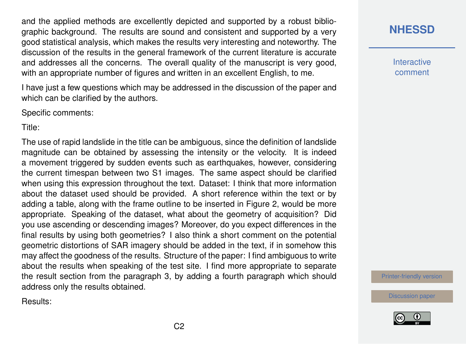and the applied methods are excellently depicted and supported by a robust bibliographic background. The results are sound and consistent and supported by a very good statistical analysis, which makes the results very interesting and noteworthy. The discussion of the results in the general framework of the current literature is accurate and addresses all the concerns. The overall quality of the manuscript is very good, with an appropriate number of figures and written in an excellent English, to me.

I have just a few questions which may be addressed in the discussion of the paper and which can be clarified by the authors.

Specific comments:

Title:

The use of rapid landslide in the title can be ambiguous, since the definition of landslide magnitude can be obtained by assessing the intensity or the velocity. It is indeed a movement triggered by sudden events such as earthquakes, however, considering the current timespan between two S1 images. The same aspect should be clarified when using this expression throughout the text. Dataset: I think that more information about the dataset used should be provided. A short reference within the text or by adding a table, along with the frame outline to be inserted in Figure 2, would be more appropriate. Speaking of the dataset, what about the geometry of acquisition? Did you use ascending or descending images? Moreover, do you expect differences in the final results by using both geometries? I also think a short comment on the potential geometric distortions of SAR imagery should be added in the text, if in somehow this may affect the goodness of the results. Structure of the paper: I find ambiguous to write about the results when speaking of the test site. I find more appropriate to separate the result section from the paragraph 3, by adding a fourth paragraph which should address only the results obtained.

Results:



**Interactive** comment

[Printer-friendly version](https://www.nat-hazards-earth-syst-sci-discuss.net/nhess-2020-55/nhess-2020-55-RC1-print.pdf)

[Discussion paper](https://www.nat-hazards-earth-syst-sci-discuss.net/nhess-2020-55)